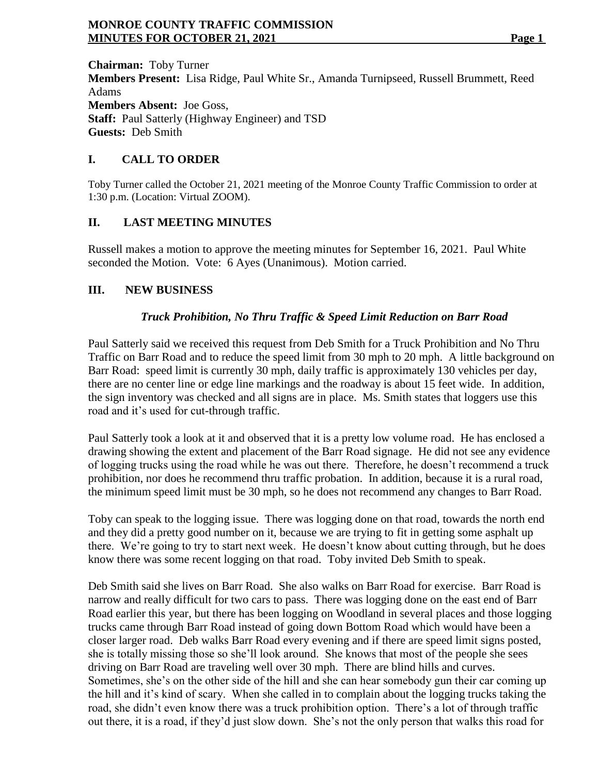**Chairman:** Toby Turner **Members Present:** Lisa Ridge, Paul White Sr., Amanda Turnipseed, Russell Brummett, Reed Adams **Members Absent:** Joe Goss, **Staff:** Paul Satterly (Highway Engineer) and TSD **Guests:** Deb Smith

# **I. CALL TO ORDER**

Toby Turner called the October 21, 2021 meeting of the Monroe County Traffic Commission to order at 1:30 p.m. (Location: Virtual ZOOM).

### **II. LAST MEETING MINUTES**

Russell makes a motion to approve the meeting minutes for September 16, 2021. Paul White seconded the Motion. Vote: 6 Ayes (Unanimous). Motion carried.

# **III. NEW BUSINESS**

# *Truck Prohibition, No Thru Traffic & Speed Limit Reduction on Barr Road*

Paul Satterly said we received this request from Deb Smith for a Truck Prohibition and No Thru Traffic on Barr Road and to reduce the speed limit from 30 mph to 20 mph. A little background on Barr Road: speed limit is currently 30 mph, daily traffic is approximately 130 vehicles per day, there are no center line or edge line markings and the roadway is about 15 feet wide. In addition, the sign inventory was checked and all signs are in place. Ms. Smith states that loggers use this road and it's used for cut-through traffic.

Paul Satterly took a look at it and observed that it is a pretty low volume road. He has enclosed a drawing showing the extent and placement of the Barr Road signage. He did not see any evidence of logging trucks using the road while he was out there. Therefore, he doesn't recommend a truck prohibition, nor does he recommend thru traffic probation. In addition, because it is a rural road, the minimum speed limit must be 30 mph, so he does not recommend any changes to Barr Road.

Toby can speak to the logging issue. There was logging done on that road, towards the north end and they did a pretty good number on it, because we are trying to fit in getting some asphalt up there. We're going to try to start next week. He doesn't know about cutting through, but he does know there was some recent logging on that road. Toby invited Deb Smith to speak.

Deb Smith said she lives on Barr Road. She also walks on Barr Road for exercise. Barr Road is narrow and really difficult for two cars to pass. There was logging done on the east end of Barr Road earlier this year, but there has been logging on Woodland in several places and those logging trucks came through Barr Road instead of going down Bottom Road which would have been a closer larger road. Deb walks Barr Road every evening and if there are speed limit signs posted, she is totally missing those so she'll look around. She knows that most of the people she sees driving on Barr Road are traveling well over 30 mph. There are blind hills and curves. Sometimes, she's on the other side of the hill and she can hear somebody gun their car coming up the hill and it's kind of scary. When she called in to complain about the logging trucks taking the road, she didn't even know there was a truck prohibition option. There's a lot of through traffic out there, it is a road, if they'd just slow down. She's not the only person that walks this road for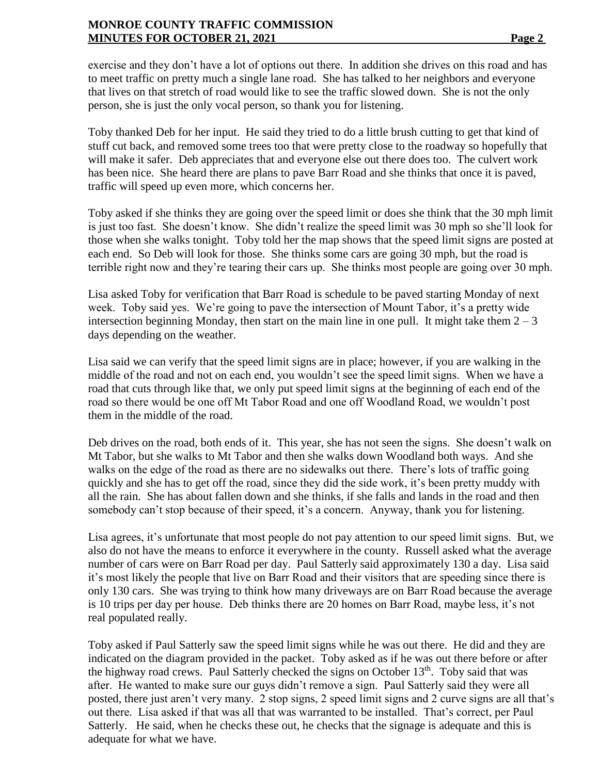exercise and they don't have a lot of options out there. In addition she drives on this road and has to meet traffic on pretty much a single lane road. She has talked to her neighbors and everyone that lives on that stretch of road would like to see the traffic slowed down. She is not the only person, she is just the only vocal person, so thank you for listening.

Toby thanked Deb for her input. He said they tried to do a little brush cutting to get that kind of stuff cut back, and removed some trees too that were pretty close to the roadway so hopefully that will make it safer. Deb appreciates that and everyone else out there does too. The culvert work has been nice. She heard there are plans to pave Barr Road and she thinks that once it is paved, traffic will speed up even more, which concerns her.

Toby asked if she thinks they are going over the speed limit or does she think that the 30 mph limit is just too fast. She doesn't know. She didn't realize the speed limit was 30 mph so she'll look for those when she walks tonight. Toby told her the map shows that the speed limit signs are posted at each end. So Deb will look for those. She thinks some cars are going 30 mph, but the road is terrible right now and they're tearing their cars up. She thinks most people are going over 30 mph.

Lisa asked Toby for verification that Barr Road is schedule to be paved starting Monday of next week. Toby said yes. We're going to pave the intersection of Mount Tabor, it's a pretty wide intersection beginning Monday, then start on the main line in one pull. It might take them  $2 - 3$ days depending on the weather.

Lisa said we can verify that the speed limit signs are in place; however, if you are walking in the middle of the road and not on each end, you wouldn't see the speed limit signs. When we have a road that cuts through like that, we only put speed limit signs at the beginning of each end of the road so there would be one off Mt Tabor Road and one off Woodland Road, we wouldn't post them in the middle of the road.

Deb drives on the road, both ends of it. This year, she has not seen the signs. She doesn't walk on Mt Tabor, but she walks to Mt Tabor and then she walks down Woodland both ways. And she walks on the edge of the road as there are no sidewalks out there. There's lots of traffic going quickly and she has to get off the road, since they did the side work, it's been pretty muddy with all the rain. She has about fallen down and she thinks, if she falls and lands in the road and then somebody can't stop because of their speed, it's a concern. Anyway, thank you for listening.

Lisa agrees, it's unfortunate that most people do not pay attention to our speed limit signs. But, we also do not have the means to enforce it everywhere in the county. Russell asked what the average number of cars were on Barr Road per day. Paul Satterly said approximately 130 a day. Lisa said it's most likely the people that live on Barr Road and their visitors that are speeding since there is only 130 cars. She was trying to think how many driveways are on Barr Road because the average is 10 trips per day per house. Deb thinks there are 20 homes on Barr Road, maybe less, it's not real populated really.

Toby asked if Paul Satterly saw the speed limit signs while he was out there. He did and they are indicated on the diagram provided in the packet. Toby asked as if he was out there before or after the highway road crews. Paul Satterly checked the signs on October 13<sup>th</sup>. Toby said that was after. He wanted to make sure our guys didn't remove a sign. Paul Satterly said they were all posted, there just aren't very many. 2 stop signs, 2 speed limit signs and 2 curve signs are all that's out there. Lisa asked if that was all that was warranted to be installed. That's correct, per Paul Satterly. He said, when he checks these out, he checks that the signage is adequate and this is adequate for what we have.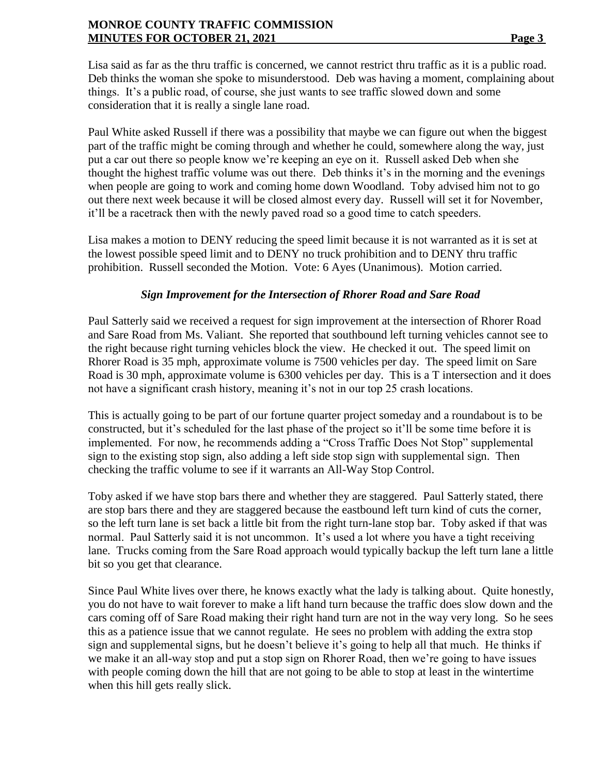Lisa said as far as the thru traffic is concerned, we cannot restrict thru traffic as it is a public road. Deb thinks the woman she spoke to misunderstood. Deb was having a moment, complaining about things. It's a public road, of course, she just wants to see traffic slowed down and some consideration that it is really a single lane road.

Paul White asked Russell if there was a possibility that maybe we can figure out when the biggest part of the traffic might be coming through and whether he could, somewhere along the way, just put a car out there so people know we're keeping an eye on it. Russell asked Deb when she thought the highest traffic volume was out there. Deb thinks it's in the morning and the evenings when people are going to work and coming home down Woodland. Toby advised him not to go out there next week because it will be closed almost every day. Russell will set it for November, it'll be a racetrack then with the newly paved road so a good time to catch speeders.

Lisa makes a motion to DENY reducing the speed limit because it is not warranted as it is set at the lowest possible speed limit and to DENY no truck prohibition and to DENY thru traffic prohibition. Russell seconded the Motion. Vote: 6 Ayes (Unanimous). Motion carried.

# *Sign Improvement for the Intersection of Rhorer Road and Sare Road*

Paul Satterly said we received a request for sign improvement at the intersection of Rhorer Road and Sare Road from Ms. Valiant. She reported that southbound left turning vehicles cannot see to the right because right turning vehicles block the view. He checked it out. The speed limit on Rhorer Road is 35 mph, approximate volume is 7500 vehicles per day. The speed limit on Sare Road is 30 mph, approximate volume is 6300 vehicles per day. This is a T intersection and it does not have a significant crash history, meaning it's not in our top 25 crash locations.

This is actually going to be part of our fortune quarter project someday and a roundabout is to be constructed, but it's scheduled for the last phase of the project so it'll be some time before it is implemented. For now, he recommends adding a "Cross Traffic Does Not Stop" supplemental sign to the existing stop sign, also adding a left side stop sign with supplemental sign. Then checking the traffic volume to see if it warrants an All-Way Stop Control.

Toby asked if we have stop bars there and whether they are staggered. Paul Satterly stated, there are stop bars there and they are staggered because the eastbound left turn kind of cuts the corner, so the left turn lane is set back a little bit from the right turn-lane stop bar. Toby asked if that was normal. Paul Satterly said it is not uncommon. It's used a lot where you have a tight receiving lane. Trucks coming from the Sare Road approach would typically backup the left turn lane a little bit so you get that clearance.

Since Paul White lives over there, he knows exactly what the lady is talking about. Quite honestly, you do not have to wait forever to make a lift hand turn because the traffic does slow down and the cars coming off of Sare Road making their right hand turn are not in the way very long. So he sees this as a patience issue that we cannot regulate. He sees no problem with adding the extra stop sign and supplemental signs, but he doesn't believe it's going to help all that much. He thinks if we make it an all-way stop and put a stop sign on Rhorer Road, then we're going to have issues with people coming down the hill that are not going to be able to stop at least in the wintertime when this hill gets really slick.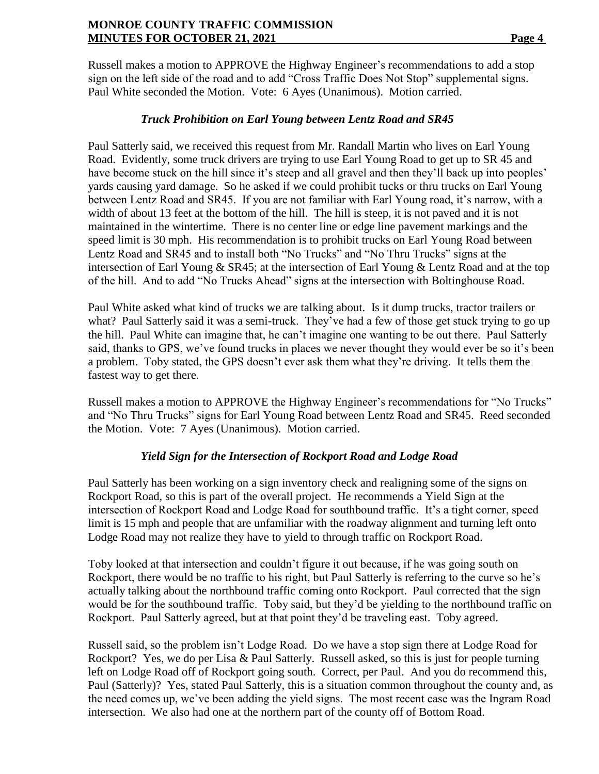Russell makes a motion to APPROVE the Highway Engineer's recommendations to add a stop sign on the left side of the road and to add "Cross Traffic Does Not Stop" supplemental signs. Paul White seconded the Motion. Vote: 6 Ayes (Unanimous). Motion carried.

### *Truck Prohibition on Earl Young between Lentz Road and SR45*

Paul Satterly said, we received this request from Mr. Randall Martin who lives on Earl Young Road. Evidently, some truck drivers are trying to use Earl Young Road to get up to SR 45 and have become stuck on the hill since it's steep and all gravel and then they'll back up into peoples' yards causing yard damage. So he asked if we could prohibit tucks or thru trucks on Earl Young between Lentz Road and SR45. If you are not familiar with Earl Young road, it's narrow, with a width of about 13 feet at the bottom of the hill. The hill is steep, it is not paved and it is not maintained in the wintertime. There is no center line or edge line pavement markings and the speed limit is 30 mph. His recommendation is to prohibit trucks on Earl Young Road between Lentz Road and SR45 and to install both "No Trucks" and "No Thru Trucks" signs at the intersection of Earl Young & SR45; at the intersection of Earl Young & Lentz Road and at the top of the hill. And to add "No Trucks Ahead" signs at the intersection with Boltinghouse Road.

Paul White asked what kind of trucks we are talking about. Is it dump trucks, tractor trailers or what? Paul Satterly said it was a semi-truck. They've had a few of those get stuck trying to go up the hill. Paul White can imagine that, he can't imagine one wanting to be out there. Paul Satterly said, thanks to GPS, we've found trucks in places we never thought they would ever be so it's been a problem. Toby stated, the GPS doesn't ever ask them what they're driving. It tells them the fastest way to get there.

Russell makes a motion to APPROVE the Highway Engineer's recommendations for "No Trucks" and "No Thru Trucks" signs for Earl Young Road between Lentz Road and SR45. Reed seconded the Motion. Vote: 7 Ayes (Unanimous). Motion carried.

### *Yield Sign for the Intersection of Rockport Road and Lodge Road*

Paul Satterly has been working on a sign inventory check and realigning some of the signs on Rockport Road, so this is part of the overall project. He recommends a Yield Sign at the intersection of Rockport Road and Lodge Road for southbound traffic. It's a tight corner, speed limit is 15 mph and people that are unfamiliar with the roadway alignment and turning left onto Lodge Road may not realize they have to yield to through traffic on Rockport Road.

Toby looked at that intersection and couldn't figure it out because, if he was going south on Rockport, there would be no traffic to his right, but Paul Satterly is referring to the curve so he's actually talking about the northbound traffic coming onto Rockport. Paul corrected that the sign would be for the southbound traffic. Toby said, but they'd be yielding to the northbound traffic on Rockport. Paul Satterly agreed, but at that point they'd be traveling east. Toby agreed.

Russell said, so the problem isn't Lodge Road. Do we have a stop sign there at Lodge Road for Rockport? Yes, we do per Lisa & Paul Satterly. Russell asked, so this is just for people turning left on Lodge Road off of Rockport going south. Correct, per Paul. And you do recommend this, Paul (Satterly)? Yes, stated Paul Satterly, this is a situation common throughout the county and, as the need comes up, we've been adding the yield signs. The most recent case was the Ingram Road intersection. We also had one at the northern part of the county off of Bottom Road.